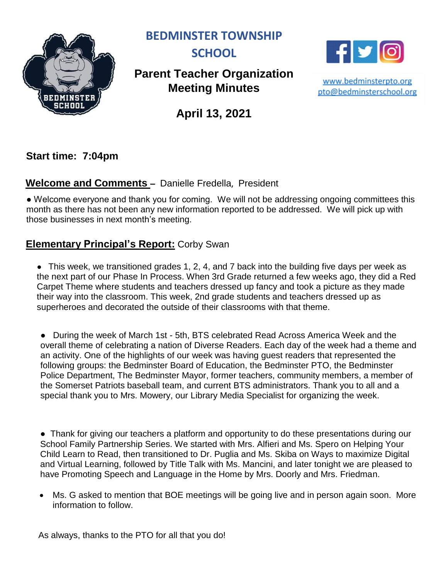

**BEDMINSTER TOWNSHIP** 



# **Parent Teacher Organization Meeting Minutes**

 $\mathbf{f}$ 

www.bedminsterpto.org pto@bedminsterschool.org

**April 13, 2021**

**Start time: 7:04pm** 

## **Welcome and Comments –** Danielle Fredella, President

• Welcome everyone and thank you for coming. We will not be addressing ongoing committees this month as there has not been any new information reported to be addressed. We will pick up with those businesses in next month's meeting.

### **Elementary Principal's Report:** Corby Swan

• This week, we transitioned grades 1, 2, 4, and 7 back into the building five days per week as the next part of our Phase In Process. When 3rd Grade returned a few weeks ago, they did a Red Carpet Theme where students and teachers dressed up fancy and took a picture as they made their way into the classroom. This week, 2nd grade students and teachers dressed up as superheroes and decorated the outside of their classrooms with that theme.

● During the week of March 1st - 5th, BTS celebrated Read Across America Week and the overall theme of celebrating a nation of Diverse Readers. Each day of the week had a theme and an activity. One of the highlights of our week was having guest readers that represented the following groups: the Bedminster Board of Education, the Bedminster PTO, the Bedminster Police Department, The Bedminster Mayor, former teachers, community members, a member of the Somerset Patriots baseball team, and current BTS administrators. Thank you to all and a special thank you to Mrs. Mowery, our Library Media Specialist for organizing the week.

• Thank for giving our teachers a platform and opportunity to do these presentations during our School Family Partnership Series. We started with Mrs. Alfieri and Ms. Spero on Helping Your Child Learn to Read, then transitioned to Dr. Puglia and Ms. Skiba on Ways to maximize Digital and Virtual Learning, followed by Title Talk with Ms. Mancini, and later tonight we are pleased to have Promoting Speech and Language in the Home by Mrs. Doorly and Mrs. Friedman.

 Ms. G asked to mention that BOE meetings will be going live and in person again soon. More information to follow.

As always, thanks to the PTO for all that you do!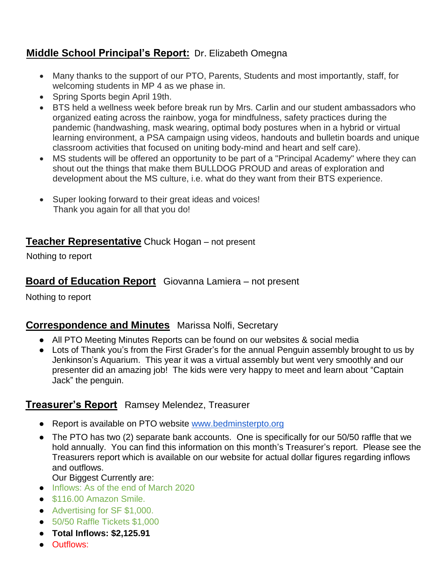## **Middle School Principal's Report:** Dr. Elizabeth Omegna

- Many thanks to the support of our PTO, Parents, Students and most importantly, staff, for welcoming students in MP 4 as we phase in.
- Spring Sports begin April 19th.
- BTS held a wellness week before break run by Mrs. Carlin and our student ambassadors who organized eating across the rainbow, yoga for mindfulness, safety practices during the pandemic (handwashing, mask wearing, optimal body postures when in a hybrid or virtual learning environment, a PSA campaign using videos, handouts and bulletin boards and unique classroom activities that focused on uniting body-mind and heart and self care).
- MS students will be offered an opportunity to be part of a "Principal Academy" where they can shout out the things that make them BULLDOG PROUD and areas of exploration and development about the MS culture, i.e. what do they want from their BTS experience.
- Super looking forward to their great ideas and voices! Thank you again for all that you do!

### **Teacher Representative** Chuck Hogan – not present

Nothing to report

### **Board of Education Report** Giovanna Lamiera – not present

Nothing to report

### **Correspondence and Minutes** Marissa Nolfi, Secretary

- All PTO Meeting Minutes Reports can be found on our websites & social media
- Lots of Thank you's from the First Grader's for the annual Penguin assembly brought to us by Jenkinson's Aquarium. This year it was a virtual assembly but went very smoothly and our presenter did an amazing job! The kids were very happy to meet and learn about "Captain Jack" the penguin.

### **Treasurer's Report** Ramsey Melendez, Treasurer

- Report is available on PTO website [www.bedminsterpto.org](http://www.bedminsterpto.org/)
- The PTO has two (2) separate bank accounts. One is specifically for our 50/50 raffle that we hold annually. You can find this information on this month's Treasurer's report. Please see the Treasurers report which is available on our website for actual dollar figures regarding inflows and outflows.

Our Biggest Currently are:

- Inflows: As of the end of March 2020
- \$116.00 Amazon Smile.
- Advertising for SF \$1,000.
- 50/50 Raffle Tickets \$1,000
- **Total Inflows: \$2,125.91**
- Outflows: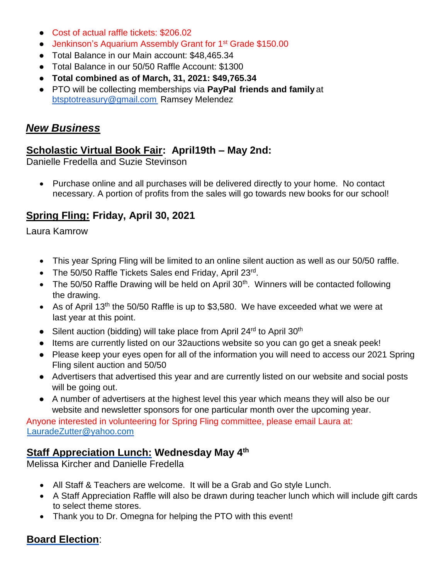- **Cost of actual raffle tickets: \$206.02**
- Jenkinson's Aquarium Assembly Grant for 1<sup>st</sup> Grade \$150.00
- Total Balance in our Main account: \$48,465.34
- Total Balance in our 50/50 Raffle Account: \$1300
- **Total combined as of March, 31, 2021: \$49,765.34**
- PTO will be collecting memberships via **PayPal friends and family** at btsptotreasury@gmail.com Ramsey Melendez

### *New Business*

### **Scholastic Virtual Book Fair: April19th – May 2nd:**

Danielle Fredella and Suzie Stevinson

• Purchase online and all purchases will be delivered directly to your home. No contact necessary. A portion of profits from the sales will go towards new books for our school!

## **Spring Fling: Friday, April 30, 2021**

Laura Kamrow

- This year Spring Fling will be limited to an online silent auction as well as our 50/50 raffle.
- The 50/50 Raffle Tickets Sales end Friday, April 23rd.
- The 50/50 Raffle Drawing will be held on April  $30<sup>th</sup>$ . Winners will be contacted following the drawing.
- As of April 13<sup>th</sup> the 50/50 Raffle is up to \$3,580. We have exceeded what we were at last year at this point.
- Silent auction (bidding) will take place from April 24<sup>rd</sup> to April 30<sup>th</sup>
- Items are currently listed on our 32 auctions website so you can go get a sneak peek!
- Please keep your eyes open for all of the information you will need to access our 2021 Spring Fling silent auction and 50/50
- Advertisers that advertised this year and are currently listed on our website and social posts will be going out.
- A number of advertisers at the highest level this year which means they will also be our website and newsletter sponsors for one particular month over the upcoming year.

Anyone interested in volunteering for Spring Fling committee, please email Laura at: [LauradeZutter@yahoo.com](mailto:LauradeZutter@yahoo.com)

### **Staff Appreciation Lunch: Wednesday May 4th**

Melissa Kircher and Danielle Fredella

- All Staff & Teachers are welcome. It will be a Grab and Go style Lunch.
- A Staff Appreciation Raffle will also be drawn during teacher lunch which will include gift cards to select theme stores.
- Thank you to Dr. Omegna for helping the PTO with this event!

## **Board Election**: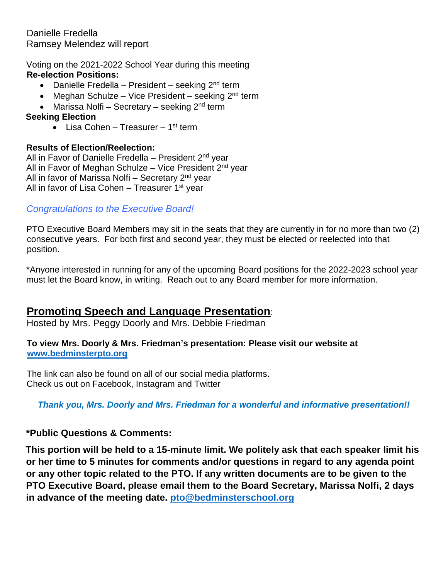Voting on the 2021-2022 School Year during this meeting **Re-election Positions:**

- Danielle Fredella President seeking 2<sup>nd</sup> term
- Meghan Schulze Vice President seeking 2<sup>nd</sup> term
- Marissa Nolfi Secretary seeking 2<sup>nd</sup> term

#### **Seeking Election**

• Lisa Cohen – Treasurer – 1<sup>st</sup> term

#### **Results of Election/Reelection:**

All in Favor of Danielle Fredella – President 2<sup>nd</sup> year All in Favor of Meghan Schulze – Vice President 2<sup>nd</sup> year All in favor of Marissa Nolfi – Secretary 2<sup>nd</sup> year All in favor of Lisa Cohen – Treasurer 1<sup>st</sup> year

#### *Congratulations to the Executive Board!*

PTO Executive Board Members may sit in the seats that they are currently in for no more than two (2) consecutive years. For both first and second year, they must be elected or reelected into that position.

\*Anyone interested in running for any of the upcoming Board positions for the 2022-2023 school year must let the Board know, in writing. Reach out to any Board member for more information.

## **Promoting Speech and Language Presentation**:

Hosted by Mrs. Peggy Doorly and Mrs. Debbie Friedman

#### **To view Mrs. Doorly & Mrs. Friedman's presentation: Please visit our website at [www.bedminsterpto.org](http://www.bedminsterpto.org/)**

The link can also be found on all of our social media platforms. Check us out on Facebook, Instagram and Twitter

*Thank you, Mrs. Doorly and Mrs. Friedman for a wonderful and informative presentation!!*

### **\*Public Questions & Comments:**

**This portion will be held to a 15-minute limit. We politely ask that each speaker limit his or her time to 5 minutes for comments and/or questions in regard to any agenda point or any other topic related to the PTO. If any written documents are to be given to the PTO Executive Board, please email them to the Board Secretary, Marissa Nolfi, 2 days in advance of the meeting date. [pto@bedminsterschool.org](mailto:pto@bedminsterschool.org)**